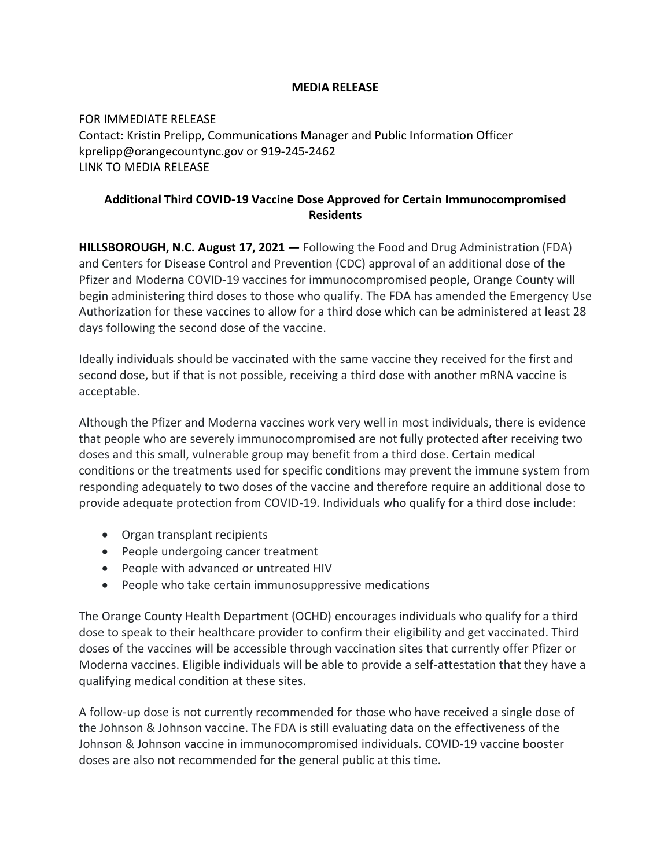## **MEDIA RELEASE**

FOR IMMEDIATE RELEASE Contact: Kristin Prelipp, Communications Manager and Public Information Officer kprelipp@orangecountync.gov or 919-245-2462 [LINK TO MEDIA RELEASE](https://www.orangecountync.gov/DocumentCenter/View/16944/Additional-Third-Dose-COVID-19-Vaccine-Dose-Approved-for-Certain-Immunocompromised-Residents-FINAL)

## **Additional Third COVID-19 Vaccine Dose Approved for Certain Immunocompromised Residents**

**HILLSBOROUGH, N.C. August 17, 2021 ―** Following the Food and Drug Administration (FDA) and Centers for Disease Control and Prevention (CDC) approval of an additional dose of the Pfizer and Moderna COVID-19 vaccines for immunocompromised people, Orange County will begin administering third doses to those who qualify. The FDA has amended the Emergency Use Authorization for these vaccines to allow for a third dose which can be administered at least 28 days following the second dose of the vaccine.

Ideally individuals should be vaccinated with the same vaccine they received for the first and second dose, but if that is not possible, receiving a third dose with another mRNA vaccine is acceptable.

Although the Pfizer and Moderna vaccines work very well in most individuals, there is evidence that people who are severely immunocompromised are not fully protected after receiving two doses and this small, vulnerable group may benefit from a third dose. Certain medical conditions or the treatments used for specific conditions may prevent the immune system from responding adequately to two doses of the vaccine and therefore require an additional dose to provide adequate protection from COVID-19. Individuals who qualify for a third dose include:

- Organ transplant recipients
- People undergoing cancer treatment
- People with advanced or untreated HIV
- People who take certain immunosuppressive medications

The Orange County Health Department (OCHD) encourages individuals who qualify for a third dose to speak to their healthcare provider to confirm their eligibility and get vaccinated. Third doses of the vaccines will be accessible through vaccination sites that currently offer Pfizer or Moderna vaccines. Eligible individuals will be able to provide a self-attestation that they have a qualifying medical condition at these sites.

A follow-up dose is not currently recommended for those who have received a single dose of the Johnson & Johnson vaccine. The FDA is still evaluating data on the effectiveness of the Johnson & Johnson vaccine in immunocompromised individuals. COVID-19 vaccine booster doses are also not recommended for the general public at this time.